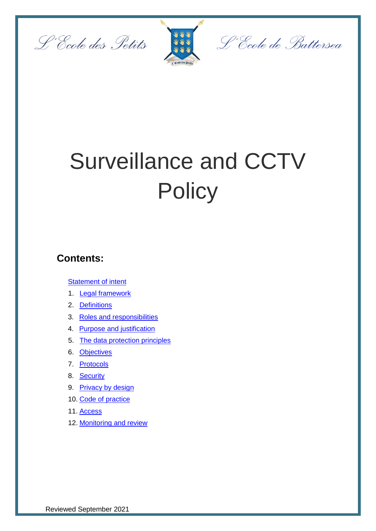



L'École de Battersea

# Surveillance and CCTV **Policy**

## **Contents:**

**[Statement of intent](#page-1-0)** 

- 1. [Legal framework](#page-2-0)
- 2. [Definitions](#page-2-1)
- 3. [Roles and responsibilities](#page-3-0)
- 4. [Purpose and justification](#page-4-0)
- 5. [The data protection principles](#page-4-1)
- 6. [Objectives](#page-5-0)
- 7. [Protocols](#page-5-1)
- 8. [Security](#page-6-0)
- 9. [Privacy by design](#page-6-1)
- 10. [Code of practice](#page-7-0)
- 11. [Access](#page-8-0)
- 12. [Monitoring and review](#page-9-0)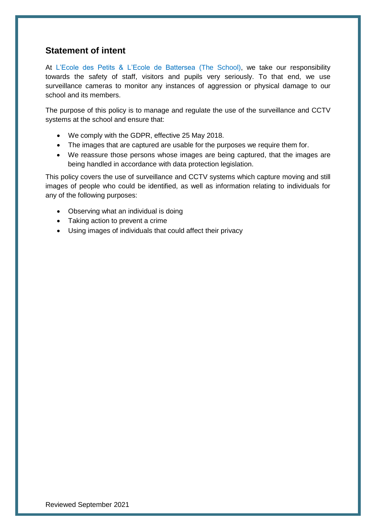### <span id="page-1-0"></span>**Statement of intent**

At L'Ecole des Petits & L'Ecole de Battersea (The School), we take our responsibility towards the safety of staff, visitors and pupils very seriously. To that end, we use surveillance cameras to monitor any instances of aggression or physical damage to our school and its members.

The purpose of this policy is to manage and regulate the use of the surveillance and CCTV systems at the school and ensure that:

- We comply with the GDPR, effective 25 May 2018.
- The images that are captured are usable for the purposes we require them for.
- We reassure those persons whose images are being captured, that the images are being handled in accordance with data protection legislation.

This policy covers the use of surveillance and CCTV systems which capture moving and still images of people who could be identified, as well as information relating to individuals for any of the following purposes:

- Observing what an individual is doing
- Taking action to prevent a crime
- Using images of individuals that could affect their privacy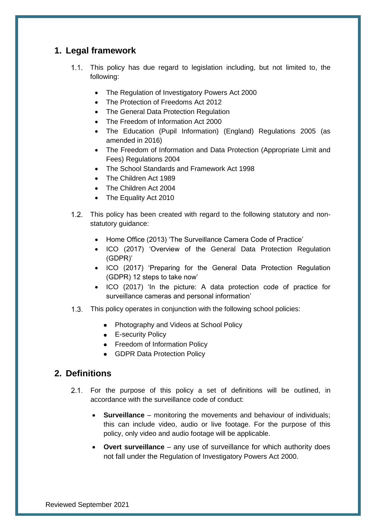#### <span id="page-2-0"></span>**1. Legal framework**

- 1.1. This policy has due regard to legislation including, but not limited to, the following:
	- The Regulation of Investigatory Powers Act 2000
	- The Protection of Freedoms Act 2012
	- The General Data Protection Regulation
	- The Freedom of Information Act 2000
	- The Education (Pupil Information) (England) Regulations 2005 (as amended in 2016)
	- The Freedom of Information and Data Protection (Appropriate Limit and Fees) Regulations 2004
	- The School Standards and Framework Act 1998
	- The Children Act 1989
	- The Children Act 2004
	- The Equality Act 2010
- 1.2. This policy has been created with regard to the following statutory and nonstatutory guidance:
	- Home Office (2013) 'The Surveillance Camera Code of Practice'
	- ICO (2017) 'Overview of the General Data Protection Regulation (GDPR)'
	- ICO (2017) 'Preparing for the General Data Protection Regulation (GDPR) 12 steps to take now'
	- ICO (2017) 'In the picture: A data protection code of practice for surveillance cameras and personal information'
- 1.3. This policy operates in conjunction with the following school policies:
	- Photography and Videos at School Policy
	- **E-security Policy**
	- Freedom of Information Policy
	- GDPR Data Protection Policy

#### <span id="page-2-1"></span>**2. Definitions**

- For the purpose of this policy a set of definitions will be outlined, in accordance with the surveillance code of conduct:
	- **Surveillance** monitoring the movements and behaviour of individuals; this can include video, audio or live footage. For the purpose of this policy, only video and audio footage will be applicable.
	- **Overt surveillance** any use of surveillance for which authority does not fall under the Regulation of Investigatory Powers Act 2000.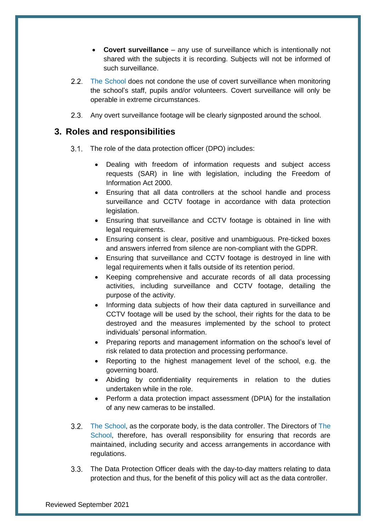- **Covert surveillance** any use of surveillance which is intentionally not shared with the subjects it is recording. Subjects will not be informed of such surveillance.
- 2.2. The School does not condone the use of covert surveillance when monitoring the school's staff, pupils and/or volunteers. Covert surveillance will only be operable in extreme circumstances.
- Any overt surveillance footage will be clearly signposted around the school.

#### <span id="page-3-0"></span>**3. Roles and responsibilities**

- 3.1. The role of the data protection officer (DPO) includes:
	- Dealing with freedom of information requests and subject access requests (SAR) in line with legislation, including the Freedom of Information Act 2000.
	- Ensuring that all data controllers at the school handle and process surveillance and CCTV footage in accordance with data protection legislation.
	- Ensuring that surveillance and CCTV footage is obtained in line with legal requirements.
	- Ensuring consent is clear, positive and unambiguous. Pre-ticked boxes and answers inferred from silence are non-compliant with the GDPR.
	- Ensuring that surveillance and CCTV footage is destroyed in line with legal requirements when it falls outside of its retention period.
	- Keeping comprehensive and accurate records of all data processing activities, including surveillance and CCTV footage, detailing the purpose of the activity.
	- Informing data subjects of how their data captured in surveillance and CCTV footage will be used by the school, their rights for the data to be destroyed and the measures implemented by the school to protect individuals' personal information.
	- Preparing reports and management information on the school's level of risk related to data protection and processing performance.
	- Reporting to the highest management level of the school, e.g. the governing board.
	- Abiding by confidentiality requirements in relation to the duties undertaken while in the role.
	- Perform a data protection impact assessment (DPIA) for the installation of any new cameras to be installed.
- The School, as the corporate body, is the data controller. The Directors of The School, therefore, has overall responsibility for ensuring that records are maintained, including security and access arrangements in accordance with regulations.
- 3.3. The Data Protection Officer deals with the day-to-day matters relating to data protection and thus, for the benefit of this policy will act as the data controller.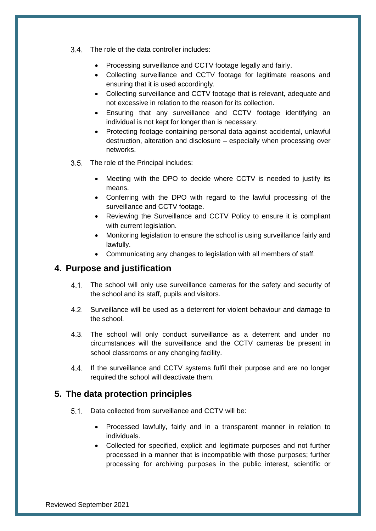3.4. The role of the data controller includes:

- Processing surveillance and CCTV footage legally and fairly.
- Collecting surveillance and CCTV footage for legitimate reasons and ensuring that it is used accordingly.
- Collecting surveillance and CCTV footage that is relevant, adequate and not excessive in relation to the reason for its collection.
- Ensuring that any surveillance and CCTV footage identifying an individual is not kept for longer than is necessary.
- Protecting footage containing personal data against accidental, unlawful destruction, alteration and disclosure – especially when processing over networks.
- 3.5. The role of the Principal includes:
	- Meeting with the DPO to decide where CCTV is needed to justify its means.
	- Conferring with the DPO with regard to the lawful processing of the surveillance and CCTV footage.
	- Reviewing the Surveillance and CCTV Policy to ensure it is compliant with current legislation.
	- Monitoring legislation to ensure the school is using surveillance fairly and lawfully.
	- Communicating any changes to legislation with all members of staff.

#### <span id="page-4-0"></span>**4. Purpose and justification**

- 4.1. The school will only use surveillance cameras for the safety and security of the school and its staff, pupils and visitors.
- 4.2. Surveillance will be used as a deterrent for violent behaviour and damage to the school.
- The school will only conduct surveillance as a deterrent and under no circumstances will the surveillance and the CCTV cameras be present in school classrooms or any changing facility.
- 4.4. If the surveillance and CCTV systems fulfil their purpose and are no longer required the school will deactivate them.

#### <span id="page-4-1"></span>**5. The data protection principles**

- 5.1. Data collected from surveillance and CCTV will be:
	- Processed lawfully, fairly and in a transparent manner in relation to individuals.
	- Collected for specified, explicit and legitimate purposes and not further processed in a manner that is incompatible with those purposes; further processing for archiving purposes in the public interest, scientific or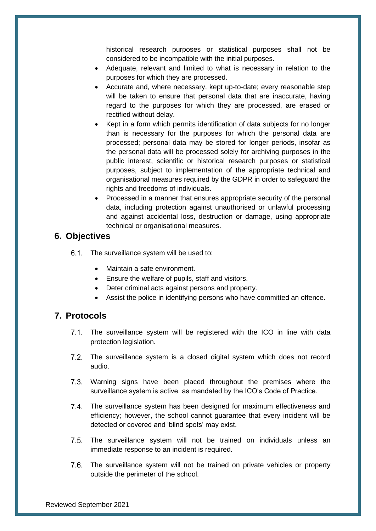historical research purposes or statistical purposes shall not be considered to be incompatible with the initial purposes.

- Adequate, relevant and limited to what is necessary in relation to the purposes for which they are processed.
- Accurate and, where necessary, kept up-to-date; every reasonable step will be taken to ensure that personal data that are inaccurate, having regard to the purposes for which they are processed, are erased or rectified without delay.
- Kept in a form which permits identification of data subjects for no longer than is necessary for the purposes for which the personal data are processed; personal data may be stored for longer periods, insofar as the personal data will be processed solely for archiving purposes in the public interest, scientific or historical research purposes or statistical purposes, subject to implementation of the appropriate technical and organisational measures required by the GDPR in order to safeguard the rights and freedoms of individuals.
- Processed in a manner that ensures appropriate security of the personal data, including protection against unauthorised or unlawful processing and against accidental loss, destruction or damage, using appropriate technical or organisational measures.

#### <span id="page-5-0"></span>**6. Objectives**

6.1. The surveillance system will be used to:

- Maintain a safe environment.
- Ensure the welfare of pupils, staff and visitors.
- Deter criminal acts against persons and property.
- Assist the police in identifying persons who have committed an offence.

#### <span id="page-5-1"></span>**7. Protocols**

- 7.1. The surveillance system will be registered with the ICO in line with data protection legislation.
- 7.2. The surveillance system is a closed digital system which does not record audio.
- 7.3. Warning signs have been placed throughout the premises where the surveillance system is active, as mandated by the ICO's Code of Practice.
- The surveillance system has been designed for maximum effectiveness and efficiency; however, the school cannot guarantee that every incident will be detected or covered and 'blind spots' may exist.
- The surveillance system will not be trained on individuals unless an immediate response to an incident is required.
- 7.6. The surveillance system will not be trained on private vehicles or property outside the perimeter of the school.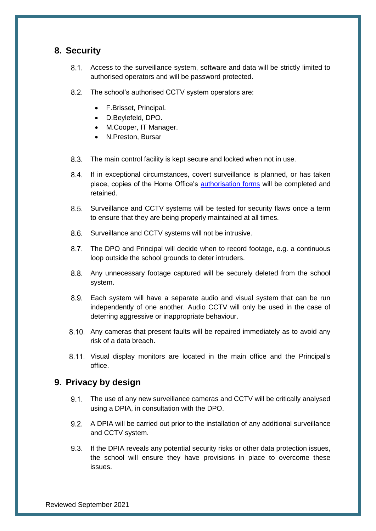#### <span id="page-6-0"></span>**8. Security**

- Access to the surveillance system, software and data will be strictly limited to authorised operators and will be password protected.
- 8.2. The school's authorised CCTV system operators are:
	- F.Brisset, Principal.
	- D.Beylefeld, DPO.
	- M.Cooper, IT Manager.
	- N.Preston, Bursar
- $8.3.$ The main control facility is kept secure and locked when not in use.
- 8.4. If in exceptional circumstances, covert surveillance is planned, or has taken place, copies of the Home Office's [authorisation forms](https://www.gov.uk/government/publications/application-for-use-of-directed-surveillance) will be completed and retained.
- Surveillance and CCTV systems will be tested for security flaws once a term to ensure that they are being properly maintained at all times.
- 8.6. Surveillance and CCTV systems will not be intrusive.
- 8.7. The DPO and Principal will decide when to record footage, e.g. a continuous loop outside the school grounds to deter intruders.
- Any unnecessary footage captured will be securely deleted from the school system.
- Each system will have a separate audio and visual system that can be run independently of one another. Audio CCTV will only be used in the case of deterring aggressive or inappropriate behaviour.
- 8.10. Any cameras that present faults will be repaired immediately as to avoid any risk of a data breach.
- 8.11. Visual display monitors are located in the main office and the Principal's office.

#### <span id="page-6-1"></span>**9. Privacy by design**

- 9.1. The use of any new surveillance cameras and CCTV will be critically analysed using a DPIA, in consultation with the DPO.
- 9.2. A DPIA will be carried out prior to the installation of any additional surveillance and CCTV system.
- 9.3. If the DPIA reveals any potential security risks or other data protection issues, the school will ensure they have provisions in place to overcome these issues.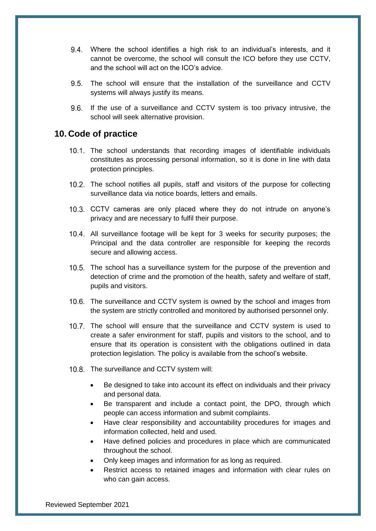- Where the school identifies a high risk to an individual's interests, and it cannot be overcome, the school will consult the ICO before they use CCTV, and the school will act on the ICO's advice.
- The school will ensure that the installation of the surveillance and CCTV systems will always justify its means.
- 9.6. If the use of a surveillance and CCTV system is too privacy intrusive, the school will seek alternative provision.

#### <span id="page-7-0"></span>**10. Code of practice**

- The school understands that recording images of identifiable individuals constitutes as processing personal information, so it is done in line with data protection principles.
- The school notifies all pupils, staff and visitors of the purpose for collecting surveillance data via notice boards, letters and emails.
- 10.3. CCTV cameras are only placed where they do not intrude on anyone's privacy and are necessary to fulfil their purpose.
- 10.4. All surveillance footage will be kept for 3 weeks for security purposes; the Principal and the data controller are responsible for keeping the records secure and allowing access.
- 10.5. The school has a surveillance system for the purpose of the prevention and detection of crime and the promotion of the health, safety and welfare of staff, pupils and visitors.
- 10.6. The surveillance and CCTV system is owned by the school and images from the system are strictly controlled and monitored by authorised personnel only.
- 10.7. The school will ensure that the surveillance and CCTV system is used to create a safer environment for staff, pupils and visitors to the school, and to ensure that its operation is consistent with the obligations outlined in data protection legislation. The policy is available from the school's website.
- 10.8. The surveillance and CCTV system will:
	- Be designed to take into account its effect on individuals and their privacy and personal data.
	- Be transparent and include a contact point, the DPO, through which people can access information and submit complaints.
	- Have clear responsibility and accountability procedures for images and information collected, held and used.
	- Have defined policies and procedures in place which are communicated throughout the school.
	- Only keep images and information for as long as required.
	- Restrict access to retained images and information with clear rules on who can gain access.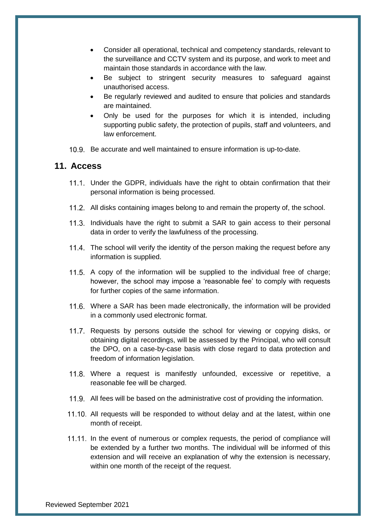- Consider all operational, technical and competency standards, relevant to the surveillance and CCTV system and its purpose, and work to meet and maintain those standards in accordance with the law.
- Be subject to stringent security measures to safeguard against unauthorised access.
- Be regularly reviewed and audited to ensure that policies and standards are maintained.
- Only be used for the purposes for which it is intended, including supporting public safety, the protection of pupils, staff and volunteers, and law enforcement.
- 10.9. Be accurate and well maintained to ensure information is up-to-date.

#### <span id="page-8-0"></span>**11. Access**

- 11.1. Under the GDPR, individuals have the right to obtain confirmation that their personal information is being processed.
- 11.2. All disks containing images belong to and remain the property of, the school.
- 11.3. Individuals have the right to submit a SAR to gain access to their personal data in order to verify the lawfulness of the processing.
- 11.4. The school will verify the identity of the person making the request before any information is supplied.
- 11.5. A copy of the information will be supplied to the individual free of charge; however, the school may impose a 'reasonable fee' to comply with requests for further copies of the same information.
- 11.6. Where a SAR has been made electronically, the information will be provided in a commonly used electronic format.
- 11.7. Requests by persons outside the school for viewing or copying disks, or obtaining digital recordings, will be assessed by the Principal, who will consult the DPO, on a case-by-case basis with close regard to data protection and freedom of information legislation.
- 11.8. Where a request is manifestly unfounded, excessive or repetitive, a reasonable fee will be charged.
- 11.9. All fees will be based on the administrative cost of providing the information.
- 11.10. All requests will be responded to without delay and at the latest, within one month of receipt.
- 11.11. In the event of numerous or complex requests, the period of compliance will be extended by a further two months. The individual will be informed of this extension and will receive an explanation of why the extension is necessary, within one month of the receipt of the request.